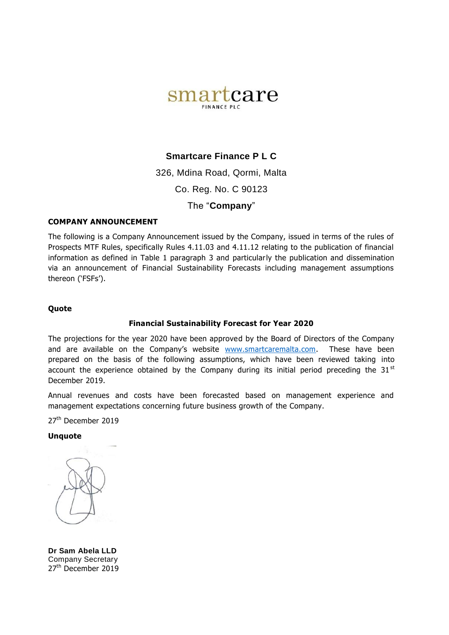

# **Smartcare Finance P L C**

326, Mdina Road, Qormi, Malta

Co. Reg. No. C 90123

The "**Company**"

#### **COMPANY ANNOUNCEMENT**

The following is a Company Announcement issued by the Company, issued in terms of the rules of Prospects MTF Rules, specifically Rules 4.11.03 and 4.11.12 relating to the publication of financial information as defined in Table 1 paragraph 3 and particularly the publication and dissemination via an announcement of Financial Sustainability Forecasts including management assumptions thereon ('FSFs').

#### **Quote**

#### **Financial Sustainability Forecast for Year 2020**

The projections for the year 2020 have been approved by the Board of Directors of the Company and are available on the Company's website [www.smartcaremalta.com.](http://www.smartcaremalta.com/) These have been prepared on the basis of the following assumptions, which have been reviewed taking into account the experience obtained by the Company during its initial period preceding the 31 $\mathrm{^{st}}$ December 2019.

Annual revenues and costs have been forecasted based on management experience and management expectations concerning future business growth of the Company.

27<sup>th</sup> December 2019

**Unquote**

**Dr Sam Abela LLD** Company Secretary 27<sup>th</sup> December 2019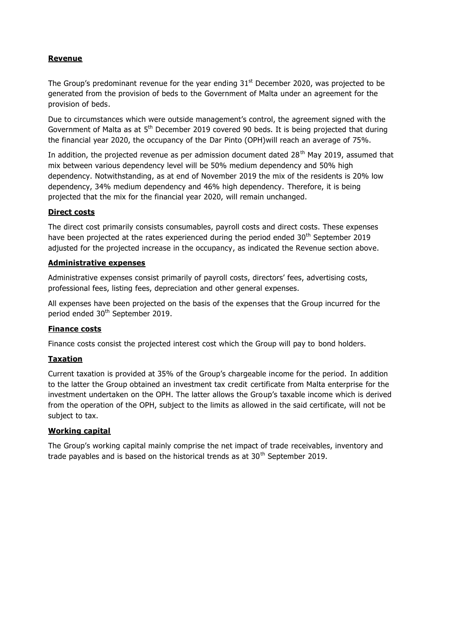# **Revenue**

The Group's predominant revenue for the year ending  $31<sup>st</sup>$  December 2020, was projected to be generated from the provision of beds to the Government of Malta under an agreement for the provision of beds.

Due to circumstances which were outside management's control, the agreement signed with the Government of Malta as at  $5<sup>th</sup>$  December 2019 covered 90 beds. It is being projected that during the financial year 2020, the occupancy of the Dar Pinto (OPH)will reach an average of 75%.

In addition, the projected revenue as per admission document dated  $28<sup>th</sup>$  May 2019, assumed that mix between various dependency level will be 50% medium dependency and 50% high dependency. Notwithstanding, as at end of November 2019 the mix of the residents is 20% low dependency, 34% medium dependency and 46% high dependency. Therefore, it is being projected that the mix for the financial year 2020, will remain unchanged.

## **Direct costs**

The direct cost primarily consists consumables, payroll costs and direct costs. These expenses have been projected at the rates experienced during the period ended  $30<sup>th</sup>$  September 2019 adjusted for the projected increase in the occupancy, as indicated the Revenue section above.

### **Administrative expenses**

Administrative expenses consist primarily of payroll costs, directors' fees, advertising costs, professional fees, listing fees, depreciation and other general expenses.

All expenses have been projected on the basis of the expenses that the Group incurred for the period ended 30<sup>th</sup> September 2019.

## **Finance costs**

Finance costs consist the projected interest cost which the Group will pay to bond holders.

## **Taxation**

Current taxation is provided at 35% of the Group's chargeable income for the period. In addition to the latter the Group obtained an investment tax credit certificate from Malta enterprise for the investment undertaken on the OPH. The latter allows the Group's taxable income which is derived from the operation of the OPH, subject to the limits as allowed in the said certificate, will not be subject to tax.

#### **Working capital**

The Group's working capital mainly comprise the net impact of trade receivables, inventory and trade payables and is based on the historical trends as at  $30<sup>th</sup>$  September 2019.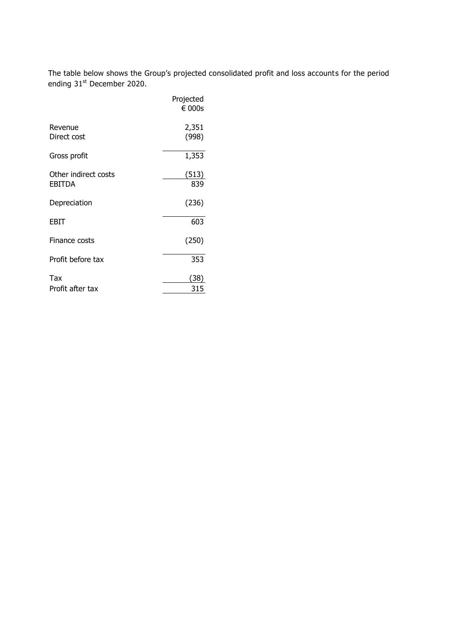The table below shows the Group's projected consolidated profit and loss accounts for the period ending 31<sup>st</sup> December 2020.

|                                | Projected<br>$\epsilon$ 000s |
|--------------------------------|------------------------------|
| Revenue<br>Direct cost         | 2,351<br>(998)               |
| Gross profit                   | 1,353                        |
| Other indirect costs<br>EBITDA | (513)<br>839                 |
| Depreciation                   | (236)                        |
| EBIT                           | 603                          |
| Finance costs                  | (250)                        |
| Profit before tax              | 353                          |
| Tax                            | (38                          |
| Profit after tax               | 315                          |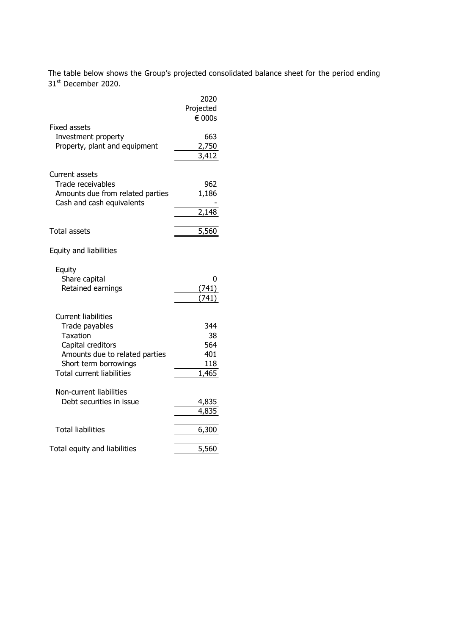The table below shows the Group's projected consolidated balance sheet for the period ending 31st December 2020.

|                                  | 2020      |
|----------------------------------|-----------|
|                                  | Projected |
|                                  | € 000s    |
| Fixed assets                     |           |
| Investment property              | 663       |
| Property, plant and equipment    | 2,750     |
|                                  | 3,412     |
|                                  |           |
| <b>Current assets</b>            |           |
| Trade receivables                | 962       |
| Amounts due from related parties | 1,186     |
| Cash and cash equivalents        |           |
|                                  | 2,148     |
|                                  |           |
| <b>Total assets</b>              | 5,560     |
|                                  |           |
| Equity and liabilities           |           |
|                                  |           |
| Equity                           |           |
| Share capital                    | 0         |
| Retained earnings                | 741       |
|                                  |           |
|                                  |           |
| <b>Current liabilities</b>       |           |
| Trade payables                   | 344       |
| <b>Taxation</b>                  | 38        |
| Capital creditors                | 564       |
| Amounts due to related parties   | 401       |
| Short term borrowings            | 118       |
| <b>Total current liabilities</b> | 1,465     |
|                                  |           |
| Non-current liabilities          |           |
| Debt securities in issue         | 4,835     |
|                                  | 4,835     |
|                                  |           |
| <b>Total liabilities</b>         | 6,300     |
|                                  |           |
| Total equity and liabilities     | 5,560     |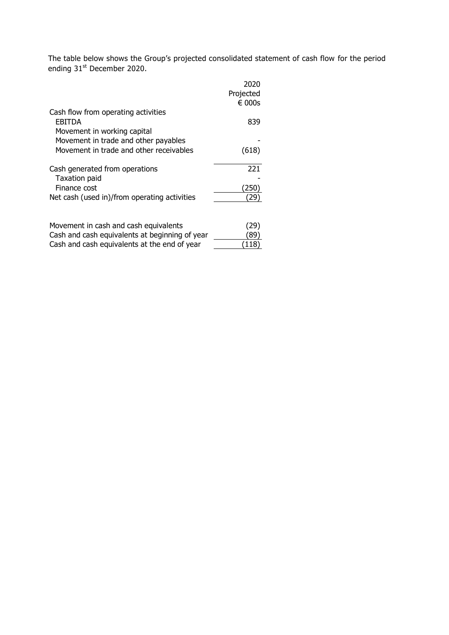The table below shows the Group's projected consolidated statement of cash flow for the period ending 31<sup>st</sup> December 2020.

|                                                | 2020            |
|------------------------------------------------|-----------------|
|                                                | Projected       |
|                                                | $\epsilon$ 000s |
| Cash flow from operating activities            |                 |
| <b>EBITDA</b>                                  | 839             |
| Movement in working capital                    |                 |
|                                                |                 |
| Movement in trade and other payables           |                 |
| Movement in trade and other receivables        | (618)           |
|                                                |                 |
| Cash generated from operations                 | 221             |
| <b>Taxation paid</b>                           |                 |
| Finance cost                                   | 250             |
| Net cash (used in)/from operating activities   |                 |
|                                                |                 |
|                                                |                 |
|                                                |                 |
| Movement in cash and cash equivalents          | [29]            |
| Cash and cash equivalents at beginning of year | 89              |
| Cash and cash equivalents at the end of year   | 118             |
|                                                |                 |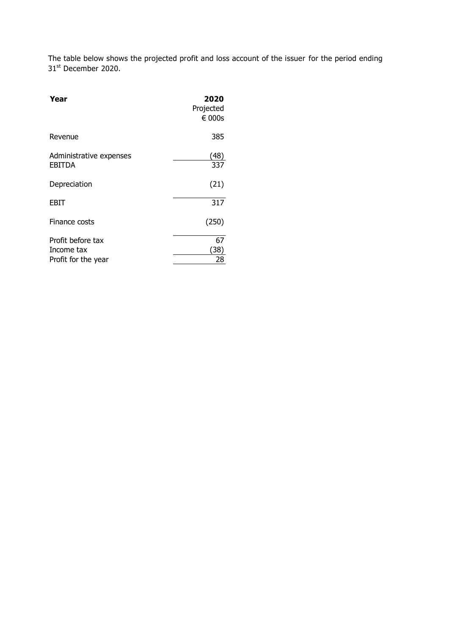The table below shows the projected profit and loss account of the issuer for the period ending 31st December 2020.

| Year                                                   | 2020<br>Projected<br>$\epsilon$ 000s |
|--------------------------------------------------------|--------------------------------------|
| Revenue                                                | 385                                  |
| Administrative expenses<br><b>EBITDA</b>               | (48<br>337                           |
| Depreciation                                           | (21)                                 |
| EBIT                                                   | 317                                  |
| Finance costs                                          | (250)                                |
| Profit before tax<br>Income tax<br>Profit for the year | 67<br>38<br>28                       |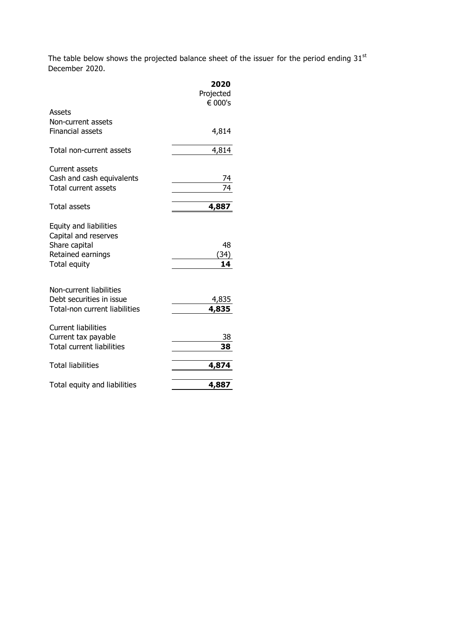The table below shows the projected balance sheet of the issuer for the period ending  $31<sup>st</sup>$ December 2020.

|                                                                                                      | 2020<br>Projected<br>€ 000's |
|------------------------------------------------------------------------------------------------------|------------------------------|
| Assets<br>Non-current assets<br><b>Financial assets</b>                                              | 4,814                        |
| Total non-current assets                                                                             | 4,814                        |
| Current assets<br>Cash and cash equivalents<br>Total current assets                                  |                              |
| <b>Total assets</b>                                                                                  | 4,887                        |
| Equity and liabilities<br>Capital and reserves<br>Share capital<br>Retained earnings<br>Total equity | 48<br>(34)<br>14             |
| Non-current liabilities<br>Debt securities in issue<br>Total-non current liabilities                 | 4,835<br>4,835               |
| <b>Current liabilities</b><br>Current tax payable<br><b>Total current liabilities</b>                | 38<br>38                     |
| <b>Total liabilities</b>                                                                             | 4,874                        |
| Total equity and liabilities                                                                         | 4,887                        |